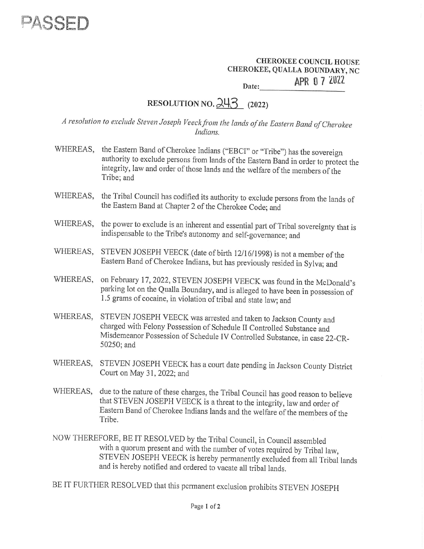

## CHEROKEE COUNCIL HOUSE CHEROKEE, QUALLA BOUNDARY, NC Date: **APR 0 7 2022** EHEROKEE C<br>EE, QUALLA<br>AF

## RESOLUTION NO.  $243$  (2022)

<sup>A</sup>resolution to exclude Steven Joseph Veeck from the lands of the Eastern Band of Cherokee Indians.

- WHEREAS, the Eastern Band of Cherokee Indians ("EBCI" or "Tribe") has the sovereign authority to exclude persons from lands of the Eastern Band in order to protect the integrity, law and order of those lands and the welfare of the members of the Tribe; and
- WHEREAS, the Tribal Council has codified its authority to exclude persons from the lands of the Eastern Band at Chapter 2 of the Cherokee Code; and
- WHEREAS, the power to exclude is an inherent and essential part of Tribal sovereignty that is indispensable to the Tribe's autonomy and self-governance: and
- WHEREAS, STEVEN JOSEPH VEECK (date of birth 12/16/1998) is not a member of the Eastern Band of Cherokee Indians, but has previously resided in Sylva; and
- WHEREAS, on February 17, 2022, STEVEN JOSEPH VEECK was found in the McDonald's parking lot on the Qualla Boundary, and is alleged to have been in possession of 1.5 grams of cocaine, in violation of tribal and state law; and
- WHEREAS, STEVEN JOSEPH VEECK was arrested and taken to Jackson County and charged with Felony Possession of Schedule II Controlled Substance and Misdemeanor Possession of Schedule IV Controlled Substance, in case 22-CR- 50250; and
- WHEREAS, STEVEN JOSEPH VEECK has a court date pending in Jackson County District Court on May 31, 2022; and
- WHEREAS, due to the nature of these charges, the Tribal Council has good reason to believe that STEVEN JOSEPH VEECK is a threat to the integrity, law and order of Eastern Band of Cherokee Indians lands and the welfare of the members of the Tribe.
- NOW THEREFORE, BE IT RESOLVED by the Tribal Council, in Council assembled<br>with a quorum present and with the number of votes required by Tribal law,<br>STEVEN JOSEPH VEECK is hereby permanently excluded from all Tribal lands<br>

BE IT FURTHER RESOLVED that this permanent exclusion prohibits STEVEN JOSEPH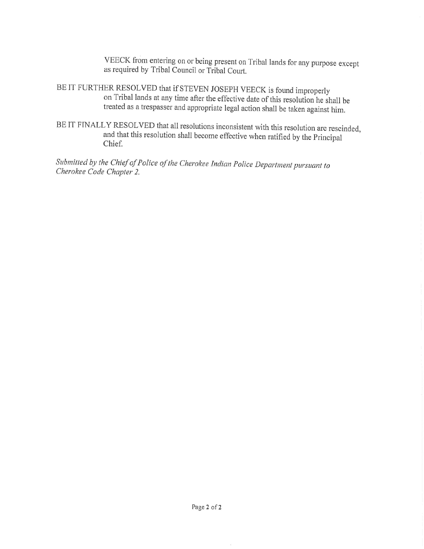VEECK from entering on or being present on Tribal lands for any purpose except as required by Tribal Council or Tribal Court.

BE IT FURTHER RESOLVED that if STEVEN JOSEPH VEECK is found improperly<br>on Tribal lands at any time after the effective date of this resolution he shall be<br>treated as a trespasser and appropriate legal action shall be taken

BE IT FINALLY RESOLVED that all resolutions inconsistent with this resolution are rescinded and that this resolution shall become effective when ratified by the Principal Chief. 3

Submitted by the Chief of Police of the Cherokee Indian Police Department pursuant to Cherokee Code Chapter 2.